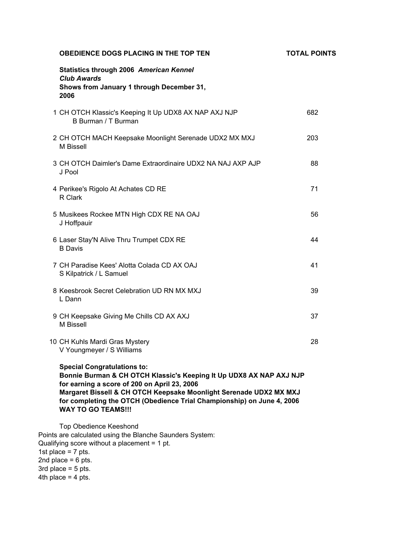| <b>OBEDIENCE DOGS PLACING IN THE TOP TEN</b>                                                                                                                                                                                                                                                                                           | <b>TOTAL POINTS</b> |
|----------------------------------------------------------------------------------------------------------------------------------------------------------------------------------------------------------------------------------------------------------------------------------------------------------------------------------------|---------------------|
| <b>Statistics through 2006 American Kennel</b><br><b>Club Awards</b><br>Shows from January 1 through December 31,<br>2006                                                                                                                                                                                                              |                     |
| 1 CH OTCH Klassic's Keeping It Up UDX8 AX NAP AXJ NJP<br>B Burman / T Burman                                                                                                                                                                                                                                                           | 682                 |
| 2 CH OTCH MACH Keepsake Moonlight Serenade UDX2 MX MXJ<br>M Bissell                                                                                                                                                                                                                                                                    | 203                 |
| 3 CH OTCH Daimler's Dame Extraordinaire UDX2 NA NAJ AXP AJP<br>J Pool                                                                                                                                                                                                                                                                  | 88                  |
| 4 Perikee's Rigolo At Achates CD RE<br>R Clark                                                                                                                                                                                                                                                                                         | 71                  |
| 5 Musikees Rockee MTN High CDX RE NA OAJ<br>J Hoffpauir                                                                                                                                                                                                                                                                                | 56                  |
| 6 Laser Stay'N Alive Thru Trumpet CDX RE<br><b>B</b> Davis                                                                                                                                                                                                                                                                             | 44                  |
| 7 CH Paradise Kees' Alotta Colada CD AX OAJ<br>S Kilpatrick / L Samuel                                                                                                                                                                                                                                                                 | 41                  |
| 8 Keesbrook Secret Celebration UD RN MX MXJ<br>L Dann                                                                                                                                                                                                                                                                                  | 39                  |
| 9 CH Keepsake Giving Me Chills CD AX AXJ<br>M Bissell                                                                                                                                                                                                                                                                                  | 37                  |
| 10 CH Kuhls Mardi Gras Mystery<br>V Youngmeyer / S Williams                                                                                                                                                                                                                                                                            | 28                  |
| <b>Special Congratulations to:</b><br>Bonnie Burman & CH OTCH Klassic's Keeping It Up UDX8 AX NAP AXJ NJP<br>for earning a score of 200 on April 23, 2006<br>Margaret Bissell & CH OTCH Keepsake Moonlight Serenade UDX2 MX MXJ<br>for completing the OTCH (Obedience Trial Championship) on June 4, 2006<br><b>WAY TO GO TEAMS!!!</b> |                     |
| Top Obedience Keeshond                                                                                                                                                                                                                                                                                                                 |                     |

Points are calculated using the Blanche Saunders System: Qualifying score without a placement = 1 pt. 1st place =  $7$  pts. 2nd place =  $6$  pts. 3rd place =  $5$  pts. 4th place  $= 4$  pts.